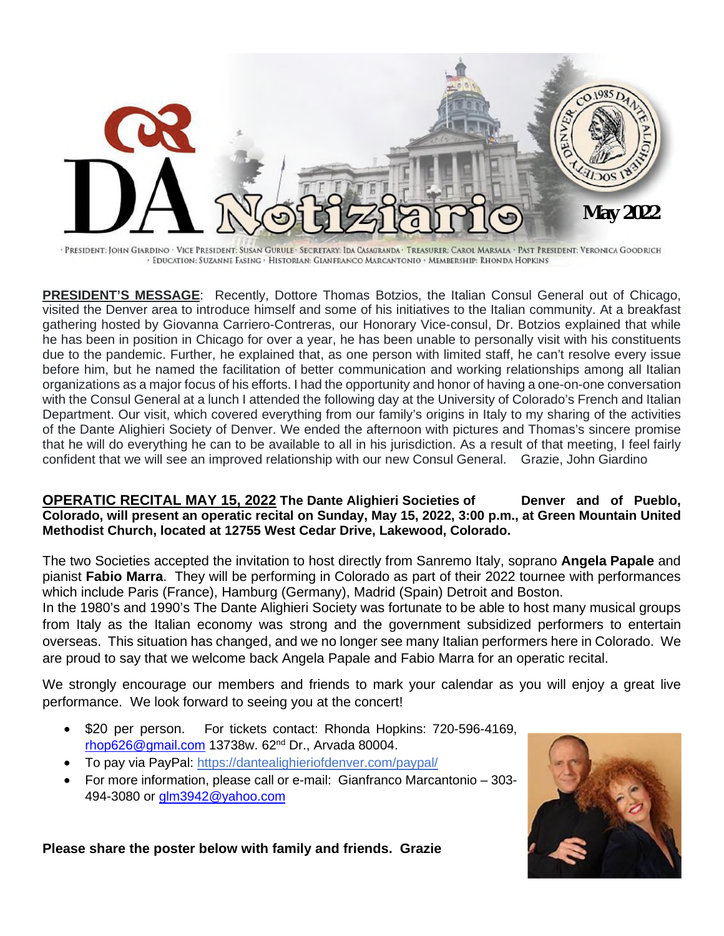

· PRESIDENT: JOHN GIARDINO · VICE PRESIDENT: SUSAN GURULE · SECRETARY: IDA CASAGRANDA · TREASURER: CAROL MARSALA · PAST PRESIDENT: VERONICA GOODRICH · EDUCATION: SUZANNE EASING · HISTORIAN: GIANFRANCO MARCANTONIO · MEMBERSHIP: RHONDA HOPKINS

**PRESIDENT'S MESSAGE**: Recently, Dottore Thomas Botzios, the Italian Consul General out of Chicago, visited the Denver area to introduce himself and some of his initiatives to the Italian community. At a breakfast gathering hosted by Giovanna Carriero-Contreras, our Honorary Vice-consul, Dr. Botzios explained that while he has been in position in Chicago for over a year, he has been unable to personally visit with his constituents due to the pandemic. Further, he explained that, as one person with limited staff, he can't resolve every issue before him, but he named the facilitation of better communication and working relationships among all Italian organizations as a major focus of his efforts. I had the opportunity and honor of having a one-on-one conversation with the Consul General at a lunch I attended the following day at the University of Colorado's French and Italian Department. Our visit, which covered everything from our family's origins in Italy to my sharing of the activities of the Dante Alighieri Society of Denver. We ended the afternoon with pictures and Thomas's sincere promise that he will do everything he can to be available to all in his jurisdiction. As a result of that meeting, I feel fairly confident that we will see an improved relationship with our new Consul General. Grazie, John Giardino

#### **OPERATIC RECITAL MAY 15, 2022** The Dante Alighieri Societies of Denver and of Pueblo, **Colorado, will present an operatic recital on Sunday, May 15, 2022, 3:00 p.m., at Green Mountain United Methodist Church, located at 12755 West Cedar Drive, Lakewood, Colorado.**

The two Societies accepted the invitation to host directly from Sanremo Italy, soprano **Angela Papale** and pianist **Fabio Marra**. They will be performing in Colorado as part of their 2022 tournee with performances which include Paris (France), Hamburg (Germany), Madrid (Spain) Detroit and Boston.

In the 1980's and 1990's The Dante Alighieri Society was fortunate to be able to host many musical groups from Italy as the Italian economy was strong and the government subsidized performers to entertain overseas. This situation has changed, and we no longer see many Italian performers here in Colorado. We are proud to say that we welcome back Angela Papale and Fabio Marra for an operatic recital.

We strongly encourage our members and friends to mark your calendar as you will enjoy a great live performance. We look forward to seeing you at the concert!

- \$20 per person. For tickets contact: Rhonda Hopkins: 720-596-4169, rhop626@gmail.com 13738w. 62nd Dr., Arvada 80004.
- To pay via PayPal: https://dantealighieriofdenver.com/paypal/
- For more information, please call or e-mail: Gianfranco Marcantonio 303- 494-3080 or glm3942@yahoo.com

**Please share the poster below with family and friends. Grazie** 

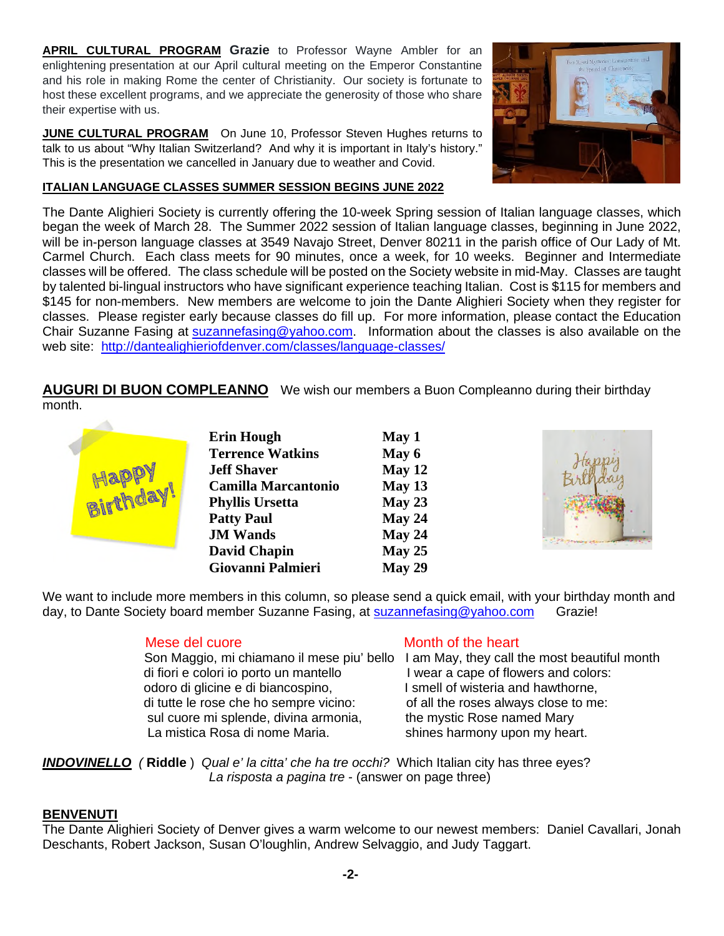**APRIL CULTURAL PROGRAM Grazie** to Professor Wayne Ambler for an enlightening presentation at our April cultural meeting on the Emperor Constantine and his role in making Rome the center of Christianity. Our society is fortunate to host these excellent programs, and we appreciate the generosity of those who share their expertise with us.

**JUNE CULTURAL PROGRAM** On June 10, Professor Steven Hughes returns to talk to us about "Why Italian Switzerland? And why it is important in Italy's history." This is the presentation we cancelled in January due to weather and Covid.

#### **ITALIAN LANGUAGE CLASSES SUMMER SESSION BEGINS JUNE 2022**

The Dante Alighieri Society is currently offering the 10-week Spring session of Italian language classes, which began the week of March 28. The Summer 2022 session of Italian language classes, beginning in June 2022, will be in-person language classes at 3549 Navajo Street, Denver 80211 in the parish office of Our Lady of Mt. Carmel Church. Each class meets for 90 minutes, once a week, for 10 weeks. Beginner and Intermediate classes will be offered. The class schedule will be posted on the Society website in mid-May. Classes are taught by talented bi-lingual instructors who have significant experience teaching Italian. Cost is \$115 for members and \$145 for non-members. New members are welcome to join the Dante Alighieri Society when they register for classes. Please register early because classes do fill up. For more information, please contact the Education Chair Suzanne Fasing at suzannefasing@yahoo.com. Information about the classes is also available on the web site: http://dantealighieriofdenver.com/classes/language-classes/

AUGURI DI BUON COMPLEANNO We wish our members a Buon Compleanno during their birthday month.



- **Erin Hough May 1 Terrence Watkins May 6 Jeff Shaver** May 12 **Camilla Marcantonio May 13 Phyllis Ursetta May 23**  Patty Paul May 24 **JM Wands May 24 David Chapin May 25 Giovanni Palmieri May 29**
- 



We want to include more members in this column, so please send a quick email, with your birthday month and day, to Dante Society board member Suzanne Fasing, at suzannefasing@yahoo.com Grazie!

di fiori e colori io porto un mantello I wear a cape of flowers and colors: odoro di glicine e di biancospino, I smell of wisteria and hawthorne, di tutte le rose che ho sempre vicino: of all the roses always close to me: sul cuore mi splende, divina armonia, the mystic Rose named Mary La mistica Rosa di nome Maria. Shines harmony upon my heart.

# Mese del cuore Month of the heart

Son Maggio, mi chiamano il mese piu' bello I am May, they call the most beautiful month

*INDOVINELLO (* **Riddle** ) *Qual e' la citta' che ha tre occhi?* Which Italian city has three eyes? *La risposta a pagina tre* - (answer on page three)

# **BENVENUTI**

The Dante Alighieri Society of Denver gives a warm welcome to our newest members: Daniel Cavallari, Jonah Deschants, Robert Jackson, Susan O'loughlin, Andrew Selvaggio, and Judy Taggart.



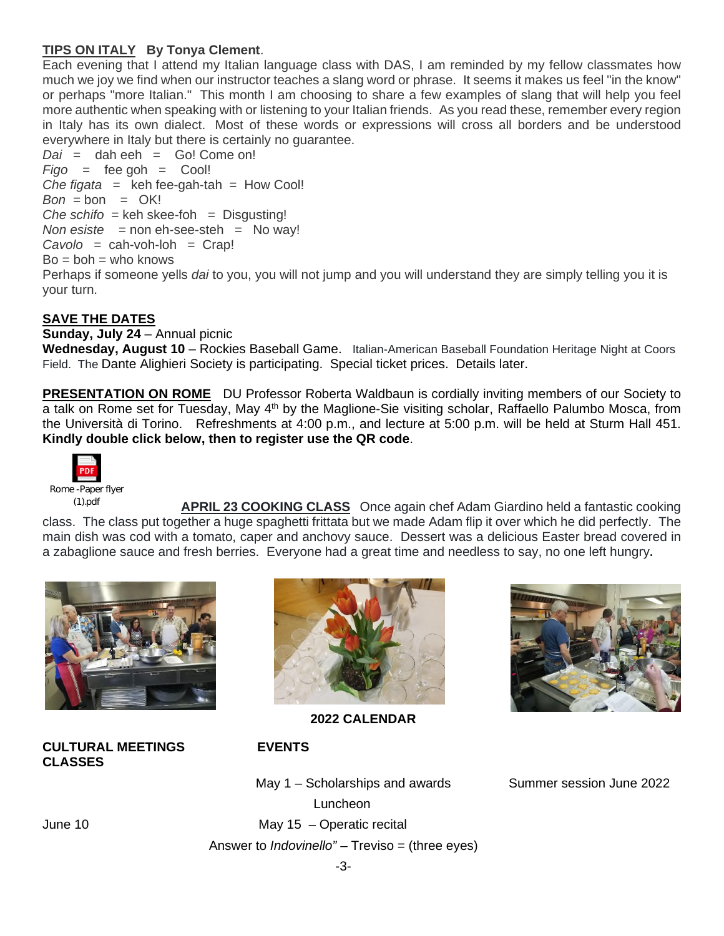### **TIPS ON ITALY By Tonya Clement**.

Each evening that I attend my Italian language class with DAS, I am reminded by my fellow classmates how much we joy we find when our instructor teaches a slang word or phrase. It seems it makes us feel "in the know" or perhaps "more Italian." This month I am choosing to share a few examples of slang that will help you feel more authentic when speaking with or listening to your Italian friends. As you read these, remember every region in Italy has its own dialect. Most of these words or expressions will cross all borders and be understood everywhere in Italy but there is certainly no guarantee.

*Dai* = dah eeh = Go! Come on! *Figo* = fee goh = Cool! *Che figata* = keh fee-gah-tah = How Cool!  $Bon = bon = OK!$ *Che schifo* = keh skee-foh = Disgusting! *Non esiste* = non eh-see-steh = No way! *Cavolo* = cah-voh-loh = Crap!  $Bo = boh = who$  knows Perhaps if someone yells *dai* to you, you will not jump and you will understand they are simply telling you it is your turn.

### **SAVE THE DATES**

**Sunday, July 24** – Annual picnic

**Wednesday, August 10** – Rockies Baseball Game. Italian-American Baseball Foundation Heritage Night at Coors Field. The Dante Alighieri Society is participating. Special ticket prices. Details later.

**PRESENTATION ON ROME** DU Professor Roberta Waldbaun is cordially inviting members of our Society to a talk on Rome set for Tuesday, May 4<sup>th</sup> by the Maglione-Sie visiting scholar, Raffaello Palumbo Mosca, from the Università di Torino. Refreshments at 4:00 p.m., and lecture at 5:00 p.m. will be held at Sturm Hall 451. **Kindly double click below, then to register use the QR code**.



(1).pdf **APRIL 23 COOKING CLASS** Once again chef Adam Giardino held a fantastic cooking class. The class put together a huge spaghetti frittata but we made Adam flip it over which he did perfectly. The main dish was cod with a tomato, caper and anchovy sauce. Dessert was a delicious Easter bread covered in a zabaglione sauce and fresh berries. Everyone had a great time and needless to say, no one left hungry**.**



**CULTURAL MEETINGS EVENTS CLASSES** 



**2022 CALENDAR** 

May 1 – Scholarships and awards Summer session June 2022 Luncheon June 10 May 15 – Operatic recital Answer to *Indovinello" –* Treviso = (three eyes)